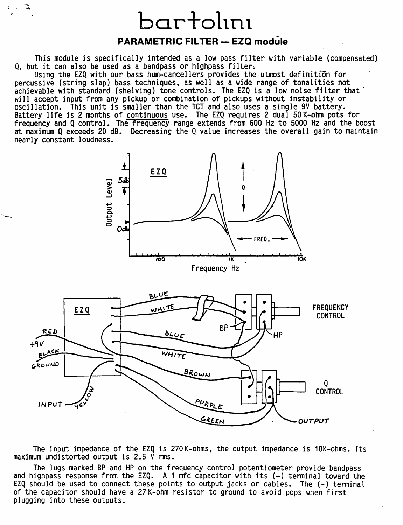## bartol1n1

•.

---

## **PARAMETRIC FILTER- EZQ module**

This module is specifically intended as a low pass filter with variable (compensated) Q, but it can also be used as a bandpass or highpass filter.

Using the EZQ with our bass hum-cancellers provides the utmost definition for percussive (string slap) bass techniques, as well as a wide range of tonalities not achievable with standard (shelving) tone controls. The EZQ is a low noise filter that will accept input from any pickup or combination of pickups without instability or<br>oscillation. This unit is smaller than the TCT and also uses a single 9V battery. Battery life is 2 months of continuous use. The EZQ requires 2 dual 50K-ohm pots for frequency and Q control. The frequency range extends from 600 Hz to 5000 Hz and the boost at maximum Q exceeds 20 dB. Decreasing the Q value increases the overall gain to maintain nearly constant loudness.





The input impedance of the EZQ is 270K-ohms, the output impedance is 10K-ohms. Its maximum undistorted output is 2.5 V rms.

The lugs marked BP and HP on the frequency control potentiometer provide bandpass<br>and highpass response from the EZQ. A 1 mfd capacitor with its (+) terminal toward the EZQ should be used to connect these points to output jacks or cables. The (-) terminal of the capacitor should have a 27K-ohm resistor to ground to avoid pops when first plugging into these outputs.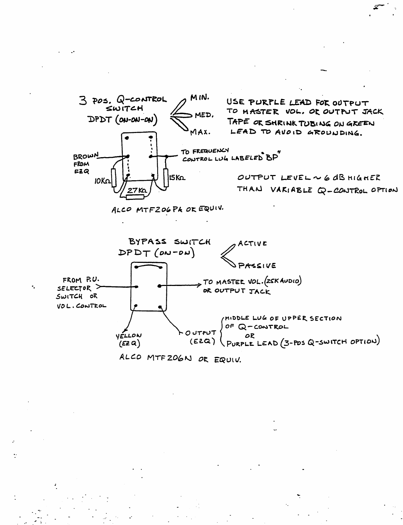